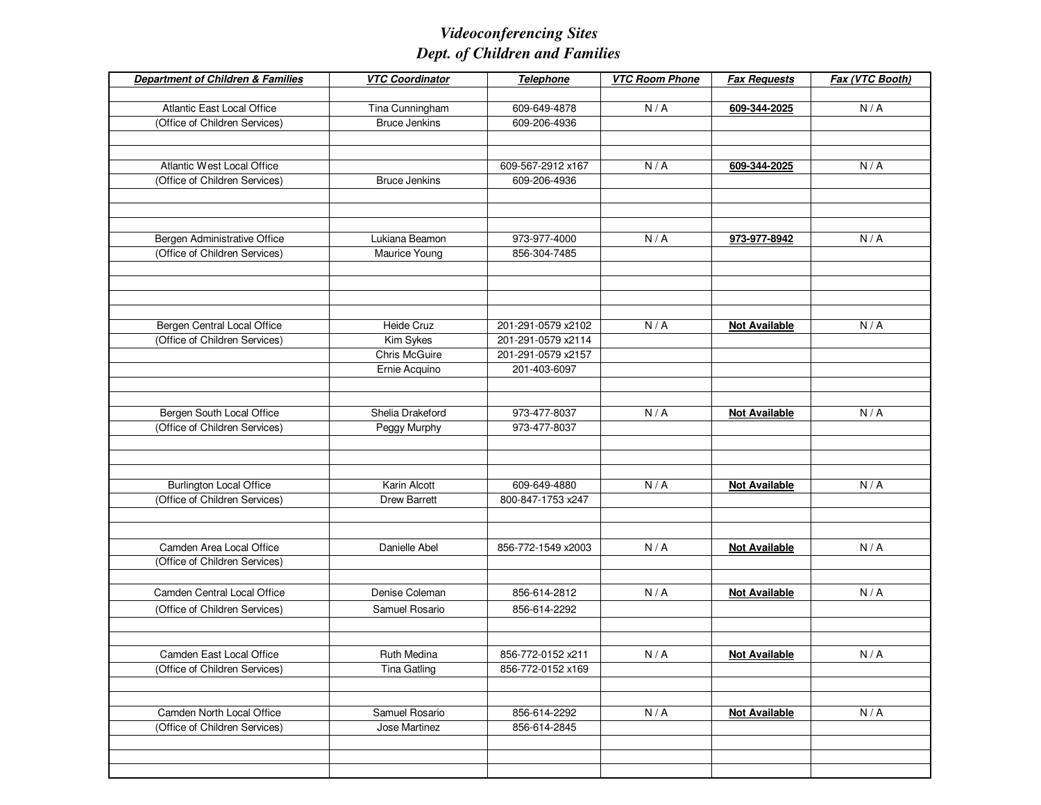| <b>Department of Children &amp; Families</b>              | <b>VTC Coordinator</b>                    | <b>Telephone</b>   | <b>VTC Room Phone</b> | <b>Fax Requests</b>  | Fax (VTC Booth) |
|-----------------------------------------------------------|-------------------------------------------|--------------------|-----------------------|----------------------|-----------------|
|                                                           |                                           |                    |                       |                      |                 |
| <b>Atlantic East Local Office</b>                         | Tina Cunningham                           | 609-649-4878       | N/A                   | 609-344-2025         | N/A             |
| (Office of Children Services)                             | <b>Bruce Jenkins</b>                      | 609-206-4936       |                       |                      |                 |
|                                                           |                                           |                    |                       |                      |                 |
| Atlantic West Local Office                                |                                           | 609-567-2912 x167  | N/A                   | 609-344-2025         | N/A             |
| (Office of Children Services)                             | <b>Bruce Jenkins</b>                      | 609-206-4936       |                       |                      |                 |
|                                                           |                                           |                    |                       |                      |                 |
|                                                           |                                           |                    |                       |                      |                 |
|                                                           |                                           |                    |                       |                      |                 |
| Bergen Administrative Office                              | Lukiana Beamon                            | 973-977-4000       | N/A                   | 973-977-8942         | N/A             |
| (Office of Children Services)                             | Maurice Young                             | 856-304-7485       |                       |                      |                 |
|                                                           |                                           |                    |                       |                      |                 |
|                                                           |                                           |                    |                       |                      |                 |
|                                                           |                                           |                    |                       |                      |                 |
| Bergen Central Local Office                               | Heide Cruz                                | 201-291-0579 x2102 | N/A                   | <b>Not Available</b> | N/A             |
| (Office of Children Services)                             | Kim Sykes                                 | 201-291-0579 x2114 |                       |                      |                 |
|                                                           | <b>Chris McGuire</b>                      | 201-291-0579 x2157 |                       |                      |                 |
|                                                           | Ernie Acquino                             | 201-403-6097       |                       |                      |                 |
|                                                           |                                           |                    |                       |                      |                 |
|                                                           |                                           |                    |                       |                      |                 |
| Bergen South Local Office                                 | Shelia Drakeford                          | 973-477-8037       | N/A                   | <b>Not Available</b> | N/A             |
| (Office of Children Services)                             | Peggy Murphy                              | 973-477-8037       |                       |                      |                 |
|                                                           |                                           |                    |                       |                      |                 |
|                                                           |                                           |                    |                       |                      |                 |
| <b>Burlington Local Office</b>                            | Karin Alcott                              | 609-649-4880       | N/A                   | <b>Not Available</b> | N/A             |
| (Office of Children Services)                             | <b>Drew Barrett</b>                       | 800-847-1753 x247  |                       |                      |                 |
|                                                           |                                           |                    |                       |                      |                 |
|                                                           |                                           |                    |                       |                      |                 |
| Camden Area Local Office                                  | Danielle Abel                             | 856-772-1549 x2003 | N/A                   | <b>Not Available</b> | N/A             |
| (Office of Children Services)                             |                                           |                    |                       |                      |                 |
|                                                           |                                           |                    |                       |                      |                 |
| Camden Central Local Office                               | Denise Coleman                            | 856-614-2812       | N/A                   | <b>Not Available</b> | N/A             |
| (Office of Children Services)                             | Samuel Rosario                            | 856-614-2292       |                       |                      |                 |
|                                                           |                                           |                    |                       |                      |                 |
|                                                           |                                           | 856-772-0152 x211  | N/A                   |                      | N/A             |
| Camden East Local Office<br>(Office of Children Services) | <b>Ruth Medina</b><br><b>Tina Gatling</b> | 856-772-0152 x169  |                       | <b>Not Available</b> |                 |
|                                                           |                                           |                    |                       |                      |                 |
|                                                           |                                           |                    |                       |                      |                 |
| Camden North Local Office                                 | Samuel Rosario                            | 856-614-2292       | N/A                   | <b>Not Available</b> | N/A             |
| (Office of Children Services)                             | Jose Martinez                             | 856-614-2845       |                       |                      |                 |
|                                                           |                                           |                    |                       |                      |                 |
|                                                           |                                           |                    |                       |                      |                 |
|                                                           |                                           |                    |                       |                      |                 |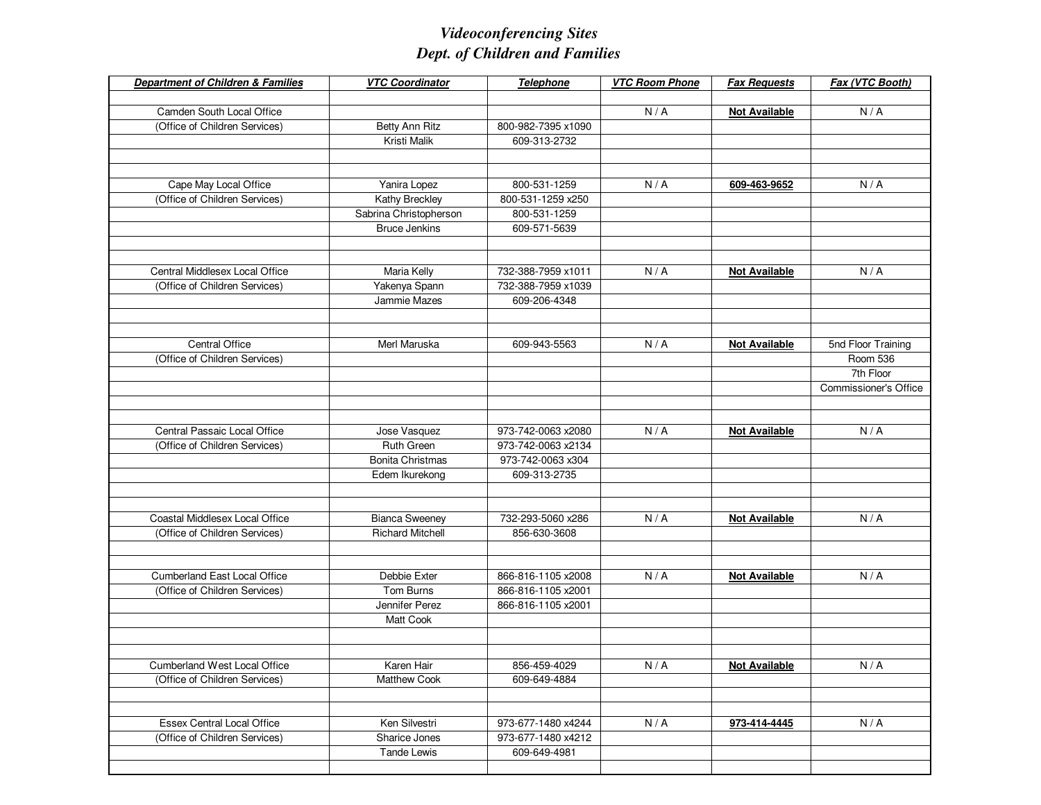| <b>Department of Children &amp; Families</b> | <b>VTC Coordinator</b>  | Telephone          | <b>VTC Room Phone</b> | <b>Fax Requests</b>  | Fax (VTC Booth)       |
|----------------------------------------------|-------------------------|--------------------|-----------------------|----------------------|-----------------------|
|                                              |                         |                    |                       |                      |                       |
| Camden South Local Office                    |                         |                    | N/A                   | <b>Not Available</b> | N/A                   |
| (Office of Children Services)                | Betty Ann Ritz          | 800-982-7395 x1090 |                       |                      |                       |
|                                              | Kristi Malik            | 609-313-2732       |                       |                      |                       |
|                                              |                         |                    |                       |                      |                       |
|                                              |                         |                    |                       |                      |                       |
| Cape May Local Office                        | Yanira Lopez            | 800-531-1259       | N/A                   | 609-463-9652         | N/A                   |
| (Office of Children Services)                | Kathy Breckley          | 800-531-1259 x250  |                       |                      |                       |
|                                              | Sabrina Christopherson  | 800-531-1259       |                       |                      |                       |
|                                              | <b>Bruce Jenkins</b>    | 609-571-5639       |                       |                      |                       |
|                                              |                         |                    |                       |                      |                       |
|                                              |                         |                    |                       |                      |                       |
| Central Middlesex Local Office               | Maria Kelly             | 732-388-7959 x1011 | N/A                   | <b>Not Available</b> | N/A                   |
| (Office of Children Services)                | Yakenya Spann           | 732-388-7959 x1039 |                       |                      |                       |
|                                              | Jammie Mazes            | 609-206-4348       |                       |                      |                       |
|                                              |                         |                    |                       |                      |                       |
|                                              |                         |                    |                       |                      |                       |
| Central Office                               | Merl Maruska            | 609-943-5563       | N/A                   | <b>Not Available</b> | 5nd Floor Training    |
| (Office of Children Services)                |                         |                    |                       |                      | <b>Room 536</b>       |
|                                              |                         |                    |                       |                      | 7th Floor             |
|                                              |                         |                    |                       |                      | Commissioner's Office |
|                                              |                         |                    |                       |                      |                       |
|                                              |                         |                    |                       |                      |                       |
| Central Passaic Local Office                 | Jose Vasquez            | 973-742-0063 x2080 | N/A                   | <b>Not Available</b> | N/A                   |
| (Office of Children Services)                | Ruth Green              | 973-742-0063 x2134 |                       |                      |                       |
|                                              | <b>Bonita Christmas</b> | 973-742-0063 x304  |                       |                      |                       |
|                                              | Edem Ikurekong          | 609-313-2735       |                       |                      |                       |
|                                              |                         |                    |                       |                      |                       |
|                                              |                         |                    |                       |                      |                       |
| Coastal Middlesex Local Office               | <b>Bianca Sweeney</b>   | 732-293-5060 x286  | N/A                   | <b>Not Available</b> | N/A                   |
| (Office of Children Services)                | <b>Richard Mitchell</b> | 856-630-3608       |                       |                      |                       |
|                                              |                         |                    |                       |                      |                       |
|                                              |                         |                    |                       |                      |                       |
| <b>Cumberland East Local Office</b>          | Debbie Exter            | 866-816-1105 x2008 | N/A                   | <b>Not Available</b> | N/A                   |
| (Office of Children Services)                | Tom Burns               | 866-816-1105 x2001 |                       |                      |                       |
|                                              | Jennifer Perez          | 866-816-1105 x2001 |                       |                      |                       |
|                                              | Matt Cook               |                    |                       |                      |                       |
|                                              |                         |                    |                       |                      |                       |
|                                              |                         |                    |                       |                      |                       |
| Cumberland West Local Office                 | Karen Hair              | 856-459-4029       | N/A                   | <b>Not Available</b> | N/A                   |
| (Office of Children Services)                | <b>Matthew Cook</b>     | 609-649-4884       |                       |                      |                       |
|                                              |                         |                    |                       |                      |                       |
|                                              |                         |                    |                       |                      |                       |
| Essex Central Local Office                   | Ken Silvestri           | 973-677-1480 x4244 | N/A                   | 973-414-4445         | N/A                   |
| (Office of Children Services)                | Sharice Jones           | 973-677-1480 x4212 |                       |                      |                       |
|                                              | <b>Tande Lewis</b>      | 609-649-4981       |                       |                      |                       |
|                                              |                         |                    |                       |                      |                       |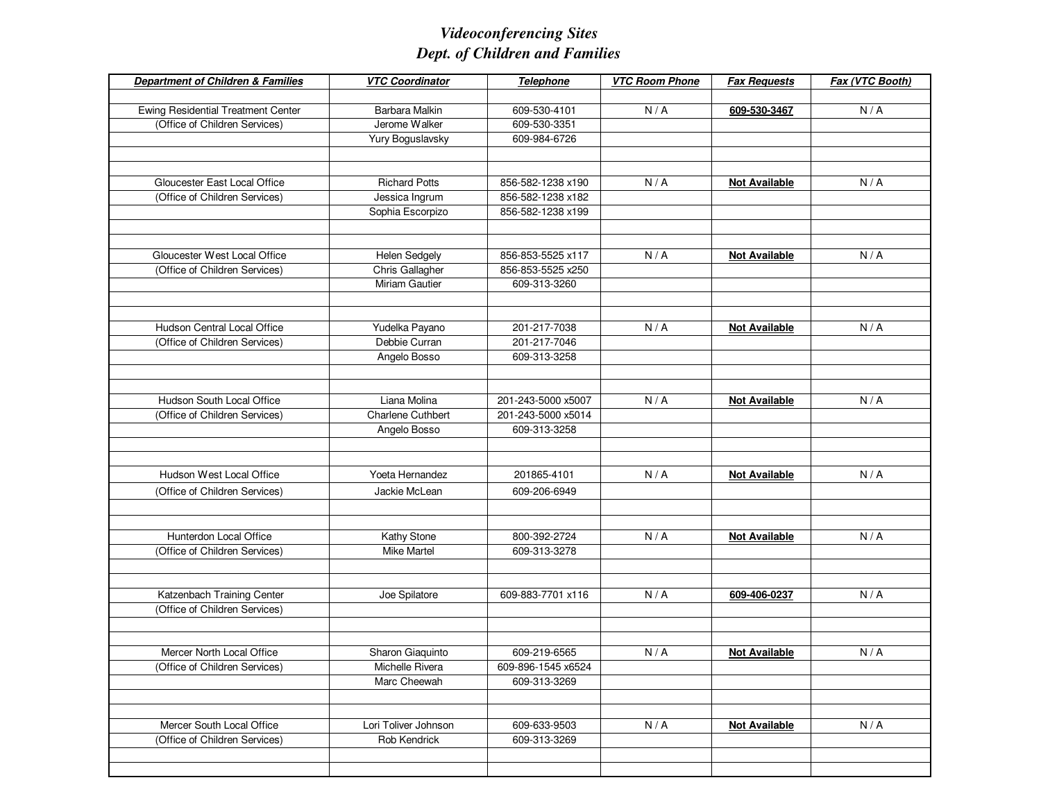| <b>Department of Children &amp; Families</b> | <b>VTC Coordinator</b>   | <b>Telephone</b>   | <b>VTC Room Phone</b> | <b>Fax Requests</b>  | Fax (VTC Booth) |
|----------------------------------------------|--------------------------|--------------------|-----------------------|----------------------|-----------------|
|                                              |                          |                    |                       |                      |                 |
| <b>Ewing Residential Treatment Center</b>    | Barbara Malkin           | 609-530-4101       | N/A                   | 609-530-3467         | N/A             |
| (Office of Children Services)                | Jerome Walker            | 609-530-3351       |                       |                      |                 |
|                                              | Yury Boguslavsky         | 609-984-6726       |                       |                      |                 |
|                                              |                          |                    |                       |                      |                 |
|                                              |                          |                    |                       |                      |                 |
| Gloucester East Local Office                 | <b>Richard Potts</b>     | 856-582-1238 x190  | N/A                   | <b>Not Available</b> | N/A             |
| (Office of Children Services)                | Jessica Ingrum           | 856-582-1238 x182  |                       |                      |                 |
|                                              | Sophia Escorpizo         | 856-582-1238 x199  |                       |                      |                 |
|                                              |                          |                    |                       |                      |                 |
| Gloucester West Local Office                 | <b>Helen Sedgely</b>     | 856-853-5525 x117  | N/A                   | <b>Not Available</b> | N/A             |
| (Office of Children Services)                | Chris Gallagher          | 856-853-5525 x250  |                       |                      |                 |
|                                              | Miriam Gautier           | 609-313-3260       |                       |                      |                 |
|                                              |                          |                    |                       |                      |                 |
|                                              |                          |                    |                       |                      |                 |
| Hudson Central Local Office                  | Yudelka Payano           | 201-217-7038       | N/A                   | <b>Not Available</b> | N/A             |
| (Office of Children Services)                | Debbie Curran            | 201-217-7046       |                       |                      |                 |
|                                              | Angelo Bosso             | 609-313-3258       |                       |                      |                 |
|                                              |                          |                    |                       |                      |                 |
|                                              |                          |                    |                       |                      |                 |
| Hudson South Local Office                    | Liana Molina             | 201-243-5000 x5007 | N/A                   | <b>Not Available</b> | N/A             |
| (Office of Children Services)                | <b>Charlene Cuthbert</b> | 201-243-5000 x5014 |                       |                      |                 |
|                                              | Angelo Bosso             | 609-313-3258       |                       |                      |                 |
|                                              |                          |                    |                       |                      |                 |
|                                              |                          |                    |                       |                      |                 |
| Hudson West Local Office                     | Yoeta Hernandez          | 201865-4101        | N/A                   | <b>Not Available</b> | N/A             |
| (Office of Children Services)                | Jackie McLean            | 609-206-6949       |                       |                      |                 |
|                                              |                          |                    |                       |                      |                 |
|                                              |                          |                    |                       |                      |                 |
| Hunterdon Local Office                       | Kathy Stone              | 800-392-2724       | N/A                   | <b>Not Available</b> | N/A             |
| (Office of Children Services)                | <b>Mike Martel</b>       | 609-313-3278       |                       |                      |                 |
|                                              |                          |                    |                       |                      |                 |
|                                              |                          |                    |                       |                      |                 |
| Katzenbach Training Center                   | Joe Spilatore            | 609-883-7701 x116  | N/A                   | 609-406-0237         | N/A             |
| (Office of Children Services)                |                          |                    |                       |                      |                 |
|                                              |                          |                    |                       |                      |                 |
| Mercer North Local Office                    | Sharon Giaquinto         | 609-219-6565       | N/A                   | <b>Not Available</b> | N/A             |
| (Office of Children Services)                | Michelle Rivera          | 609-896-1545 x6524 |                       |                      |                 |
|                                              | Marc Cheewah             | 609-313-3269       |                       |                      |                 |
|                                              |                          |                    |                       |                      |                 |
|                                              |                          |                    |                       |                      |                 |
| Mercer South Local Office                    | Lori Toliver Johnson     | 609-633-9503       | N/A                   | <b>Not Available</b> | N/A             |
| (Office of Children Services)                | Rob Kendrick             | 609-313-3269       |                       |                      |                 |
|                                              |                          |                    |                       |                      |                 |
|                                              |                          |                    |                       |                      |                 |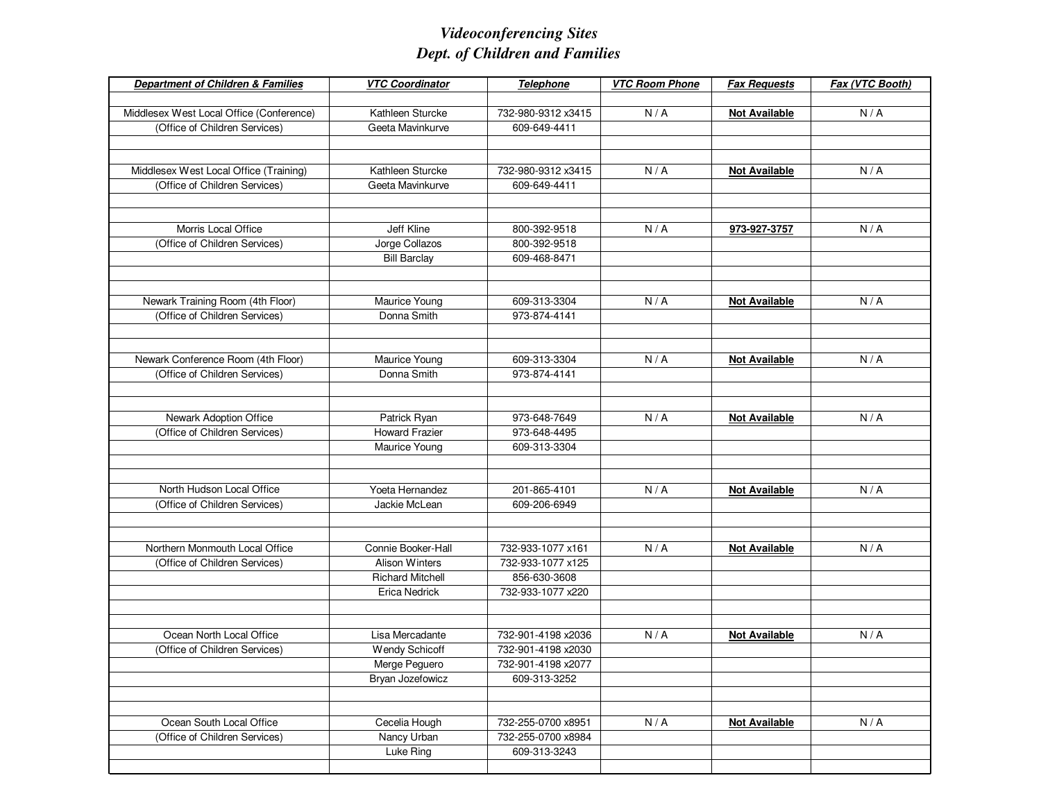| <b>Department of Children &amp; Families</b> | <b>VTC Coordinator</b>  | Telephone          | <b>VTC Room Phone</b> | <b>Fax Requests</b>  | Fax (VTC Booth) |
|----------------------------------------------|-------------------------|--------------------|-----------------------|----------------------|-----------------|
|                                              |                         |                    |                       |                      |                 |
| Middlesex West Local Office (Conference)     | Kathleen Sturcke        | 732-980-9312 x3415 | N/A                   | <b>Not Available</b> | N/A             |
| (Office of Children Services)                | Geeta Mavinkurve        | 609-649-4411       |                       |                      |                 |
|                                              |                         |                    |                       |                      |                 |
|                                              |                         |                    |                       |                      |                 |
| Middlesex West Local Office (Training)       | Kathleen Sturcke        | 732-980-9312 x3415 | N/A                   | <b>Not Available</b> | N/A             |
| (Office of Children Services)                | Geeta Mavinkurve        | 609-649-4411       |                       |                      |                 |
|                                              |                         |                    |                       |                      |                 |
|                                              |                         |                    |                       |                      |                 |
| Morris Local Office                          | Jeff Kline              | 800-392-9518       | N/A                   | 973-927-3757         | N/A             |
| (Office of Children Services)                | Jorge Collazos          | 800-392-9518       |                       |                      |                 |
|                                              | <b>Bill Barclay</b>     | 609-468-8471       |                       |                      |                 |
|                                              |                         |                    |                       |                      |                 |
|                                              |                         |                    |                       |                      |                 |
| Newark Training Room (4th Floor)             | Maurice Young           | 609-313-3304       | N/A                   | <b>Not Available</b> | N/A             |
| (Office of Children Services)                | Donna Smith             | 973-874-4141       |                       |                      |                 |
|                                              |                         |                    |                       |                      |                 |
|                                              |                         |                    |                       |                      |                 |
| Newark Conference Room (4th Floor)           | Maurice Young           | 609-313-3304       | N/A                   | <b>Not Available</b> | N/A             |
| (Office of Children Services)                | Donna Smith             | 973-874-4141       |                       |                      |                 |
|                                              |                         |                    |                       |                      |                 |
|                                              |                         |                    |                       |                      |                 |
| Newark Adoption Office                       | Patrick Ryan            | 973-648-7649       | N/A                   | <b>Not Available</b> | N/A             |
| (Office of Children Services)                | <b>Howard Frazier</b>   | 973-648-4495       |                       |                      |                 |
|                                              | Maurice Young           | 609-313-3304       |                       |                      |                 |
|                                              |                         |                    |                       |                      |                 |
|                                              |                         |                    |                       |                      |                 |
| North Hudson Local Office                    | Yoeta Hernandez         | 201-865-4101       | N/A                   | <b>Not Available</b> | N/A             |
| (Office of Children Services)                | Jackie McLean           | 609-206-6949       |                       |                      |                 |
|                                              |                         |                    |                       |                      |                 |
|                                              |                         |                    |                       |                      |                 |
| Northern Monmouth Local Office               | Connie Booker-Hall      | 732-933-1077 x161  | N/A                   | <b>Not Available</b> | N/A             |
| (Office of Children Services)                | <b>Alison Winters</b>   | 732-933-1077 x125  |                       |                      |                 |
|                                              | <b>Richard Mitchell</b> | 856-630-3608       |                       |                      |                 |
|                                              | Erica Nedrick           | 732-933-1077 x220  |                       |                      |                 |
|                                              |                         |                    |                       |                      |                 |
|                                              |                         |                    |                       |                      |                 |
| Ocean North Local Office                     | Lisa Mercadante         | 732-901-4198 x2036 | N/A                   | <b>Not Available</b> | N/A             |
| (Office of Children Services)                | <b>Wendy Schicoff</b>   | 732-901-4198 x2030 |                       |                      |                 |
|                                              | Merge Peguero           | 732-901-4198 x2077 |                       |                      |                 |
|                                              | Bryan Jozefowicz        | 609-313-3252       |                       |                      |                 |
|                                              |                         |                    |                       |                      |                 |
|                                              |                         |                    |                       |                      |                 |
| Ocean South Local Office                     | Cecelia Hough           | 732-255-0700 x8951 | N/A                   | <b>Not Available</b> | N/A             |
| (Office of Children Services)                | Nancy Urban             | 732-255-0700 x8984 |                       |                      |                 |
|                                              | Luke Ring               | 609-313-3243       |                       |                      |                 |
|                                              |                         |                    |                       |                      |                 |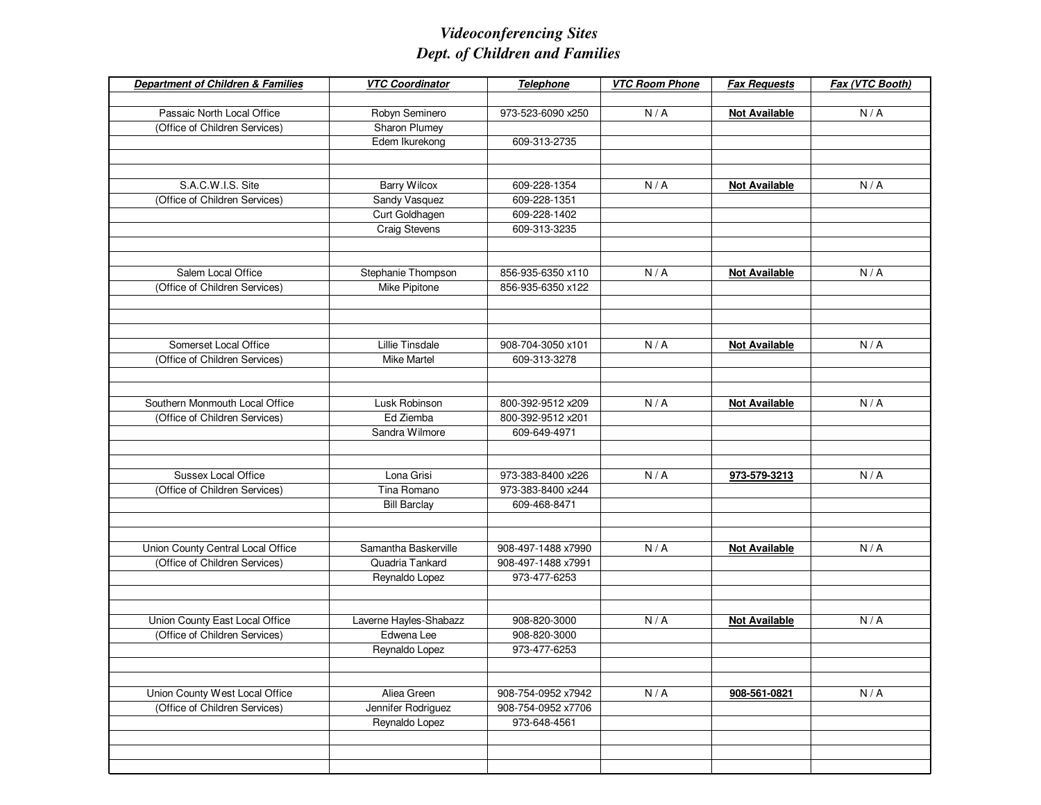| <b>Department of Children &amp; Families</b> | <b>VTC Coordinator</b> | Telephone          | <b>VTC Room Phone</b> | <b>Fax Requests</b>  | Fax (VTC Booth) |
|----------------------------------------------|------------------------|--------------------|-----------------------|----------------------|-----------------|
|                                              |                        |                    |                       |                      |                 |
| Passaic North Local Office                   | Robyn Seminero         | 973-523-6090 x250  | N/A                   | <b>Not Available</b> | N/A             |
| (Office of Children Services)                | Sharon Plumey          |                    |                       |                      |                 |
|                                              | Edem Ikurekong         | 609-313-2735       |                       |                      |                 |
|                                              |                        |                    |                       |                      |                 |
|                                              |                        |                    |                       |                      |                 |
| S.A.C.W.I.S. Site                            | <b>Barry Wilcox</b>    | 609-228-1354       | N/A                   | <b>Not Available</b> | N/A             |
| (Office of Children Services)                | Sandy Vasquez          | 609-228-1351       |                       |                      |                 |
|                                              | Curt Goldhagen         | 609-228-1402       |                       |                      |                 |
|                                              | <b>Craig Stevens</b>   | 609-313-3235       |                       |                      |                 |
|                                              |                        |                    |                       |                      |                 |
|                                              |                        |                    |                       |                      |                 |
| Salem Local Office                           | Stephanie Thompson     | 856-935-6350 x110  | N/A                   | <b>Not Available</b> | N/A             |
| (Office of Children Services)                | Mike Pipitone          | 856-935-6350 x122  |                       |                      |                 |
|                                              |                        |                    |                       |                      |                 |
|                                              |                        |                    |                       |                      |                 |
| Somerset Local Office                        | Lillie Tinsdale        | 908-704-3050 x101  | N/A                   | <b>Not Available</b> | N/A             |
| (Office of Children Services)                | <b>Mike Martel</b>     | 609-313-3278       |                       |                      |                 |
|                                              |                        |                    |                       |                      |                 |
|                                              |                        |                    |                       |                      |                 |
| Southern Monmouth Local Office               | Lusk Robinson          | 800-392-9512 x209  | N/A                   | <b>Not Available</b> | N/A             |
| (Office of Children Services)                | Ed Ziemba              | 800-392-9512 x201  |                       |                      |                 |
|                                              | Sandra Wilmore         | 609-649-4971       |                       |                      |                 |
|                                              |                        |                    |                       |                      |                 |
|                                              |                        |                    |                       |                      |                 |
| Sussex Local Office                          | Lona Grisi             | 973-383-8400 x226  | N/A                   | 973-579-3213         | N/A             |
| (Office of Children Services)                | Tina Romano            | 973-383-8400 x244  |                       |                      |                 |
|                                              | <b>Bill Barclay</b>    | 609-468-8471       |                       |                      |                 |
|                                              |                        |                    |                       |                      |                 |
|                                              |                        |                    |                       |                      |                 |
| Union County Central Local Office            | Samantha Baskerville   | 908-497-1488 x7990 | N/A                   | <b>Not Available</b> | N/A             |
| (Office of Children Services)                | Quadria Tankard        | 908-497-1488 x7991 |                       |                      |                 |
|                                              | Reynaldo Lopez         | 973-477-6253       |                       |                      |                 |
|                                              |                        |                    |                       |                      |                 |
|                                              |                        |                    |                       |                      |                 |
| Union County East Local Office               | Laverne Hayles-Shabazz | 908-820-3000       | N/A                   | <b>Not Available</b> | N/A             |
| (Office of Children Services)                | Edwena Lee             | 908-820-3000       |                       |                      |                 |
|                                              | Reynaldo Lopez         | 973-477-6253       |                       |                      |                 |
|                                              |                        |                    |                       |                      |                 |
|                                              |                        |                    |                       |                      |                 |
| Union County West Local Office               | Aliea Green            | 908-754-0952 x7942 | N/A                   | 908-561-0821         | N/A             |
| (Office of Children Services)                | Jennifer Rodriguez     | 908-754-0952 x7706 |                       |                      |                 |
|                                              | Reynaldo Lopez         | 973-648-4561       |                       |                      |                 |
|                                              |                        |                    |                       |                      |                 |
|                                              |                        |                    |                       |                      |                 |
|                                              |                        |                    |                       |                      |                 |